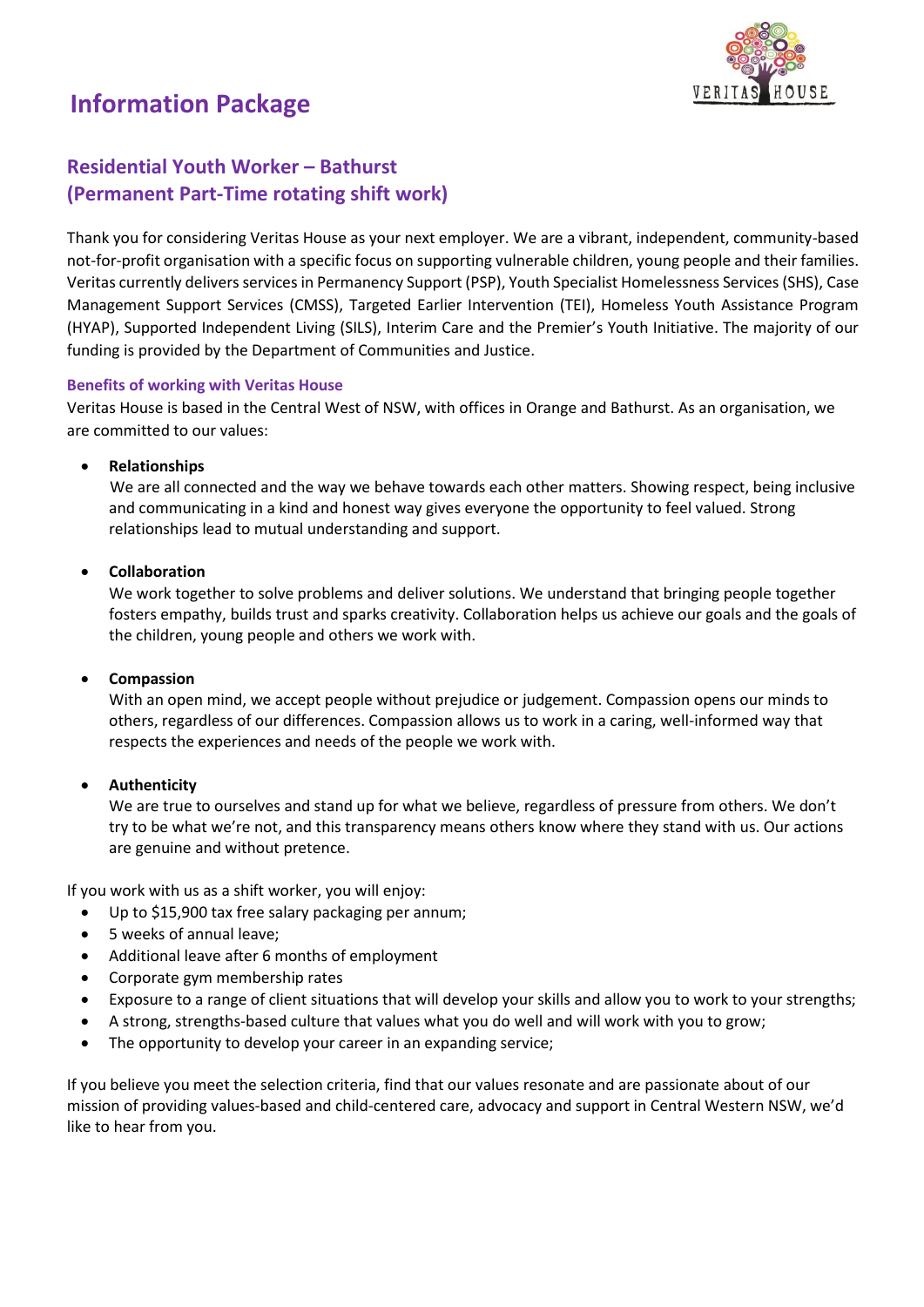# **Information Package**



# **Residential Youth Worker – Bathurst (Permanent Part-Time rotating shift work)**

Thank you for considering Veritas House as your next employer. We are a vibrant, independent, community-based not-for-profit organisation with a specific focus on supporting vulnerable children, young people and their families. Veritas currently delivers services in Permanency Support (PSP), Youth Specialist Homelessness Services (SHS), Case Management Support Services (CMSS), Targeted Earlier Intervention (TEI), Homeless Youth Assistance Program (HYAP), Supported Independent Living (SILS), Interim Care and the Premier's Youth Initiative. The majority of our funding is provided by the Department of Communities and Justice.

#### **Benefits of working with Veritas House**

Veritas House is based in the Central West of NSW, with offices in Orange and Bathurst. As an organisation, we are committed to our values:

#### • **Relationships**

We are all connected and the way we behave towards each other matters. Showing respect, being inclusive and communicating in a kind and honest way gives everyone the opportunity to feel valued. Strong relationships lead to mutual understanding and support.

#### • **Collaboration**

We work together to solve problems and deliver solutions. We understand that bringing people together fosters empathy, builds trust and sparks creativity. Collaboration helps us achieve our goals and the goals of the children, young people and others we work with.

# • **Compassion**

With an open mind, we accept people without prejudice or judgement. Compassion opens our minds to others, regardless of our differences. Compassion allows us to work in a caring, well-informed way that respects the experiences and needs of the people we work with.

# • **Authenticity**

We are true to ourselves and stand up for what we believe, regardless of pressure from others. We don't try to be what we're not, and this transparency means others know where they stand with us. Our actions are genuine and without pretence.

If you work with us as a shift worker, you will enjoy:

- Up to \$15,900 tax free salary packaging per annum;
- 5 weeks of annual leave;
- Additional leave after 6 months of employment
- Corporate gym membership rates
- Exposure to a range of client situations that will develop your skills and allow you to work to your strengths;
- A strong, strengths-based culture that values what you do well and will work with you to grow;
- The opportunity to develop your career in an expanding service;

If you believe you meet the selection criteria, find that our values resonate and are passionate about of our mission of providing values-based and child-centered care, advocacy and support in Central Western NSW, we'd like to hear from you.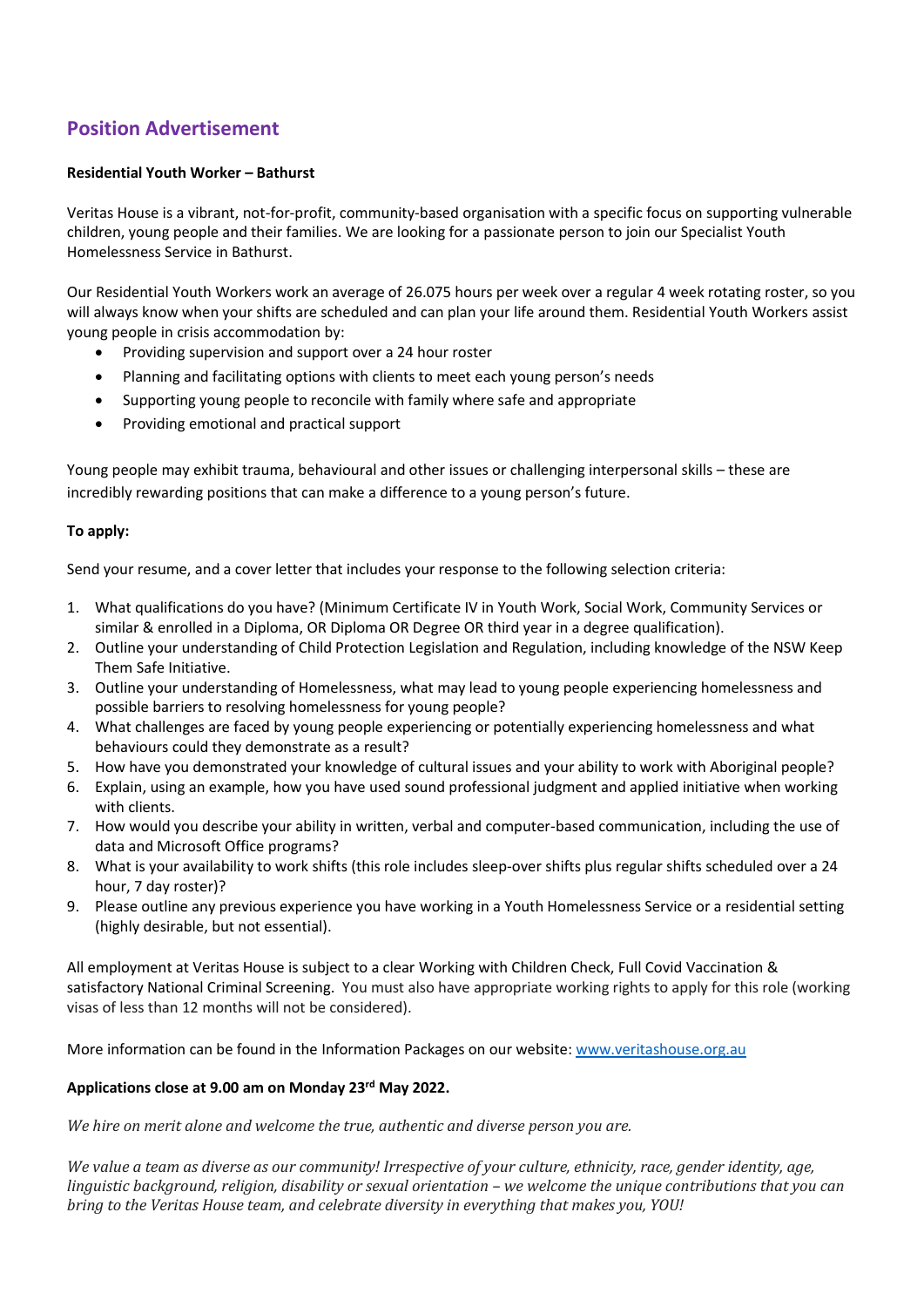# **Position Advertisement**

#### **Residential Youth Worker – Bathurst**

Veritas House is a vibrant, not-for-profit, community-based organisation with a specific focus on supporting vulnerable children, young people and their families. We are looking for a passionate person to join our Specialist Youth Homelessness Service in Bathurst.

Our Residential Youth Workers work an average of 26.075 hours per week over a regular 4 week rotating roster, so you will always know when your shifts are scheduled and can plan your life around them. Residential Youth Workers assist young people in crisis accommodation by:

- Providing supervision and support over a 24 hour roster
- Planning and facilitating options with clients to meet each young person's needs
- Supporting young people to reconcile with family where safe and appropriate
- Providing emotional and practical support

Young people may exhibit trauma, behavioural and other issues or challenging interpersonal skills – these are incredibly rewarding positions that can make a difference to a young person's future.

#### **To apply:**

Send your resume, and a cover letter that includes your response to the following selection criteria:

- 1. What qualifications do you have? (Minimum Certificate IV in Youth Work, Social Work, Community Services or similar & enrolled in a Diploma, OR Diploma OR Degree OR third year in a degree qualification).
- 2. Outline your understanding of Child Protection Legislation and Regulation, including knowledge of the NSW Keep Them Safe Initiative.
- 3. Outline your understanding of Homelessness, what may lead to young people experiencing homelessness and possible barriers to resolving homelessness for young people?
- 4. What challenges are faced by young people experiencing or potentially experiencing homelessness and what behaviours could they demonstrate as a result?
- 5. How have you demonstrated your knowledge of cultural issues and your ability to work with Aboriginal people?
- 6. Explain, using an example, how you have used sound professional judgment and applied initiative when working with clients.
- 7. How would you describe your ability in written, verbal and computer-based communication, including the use of data and Microsoft Office programs?
- 8. What is your availability to work shifts (this role includes sleep-over shifts plus regular shifts scheduled over a 24 hour, 7 day roster)?
- 9. Please outline any previous experience you have working in a Youth Homelessness Service or a residential setting (highly desirable, but not essential).

All employment at Veritas House is subject to a clear Working with Children Check, Full Covid Vaccination & satisfactory National Criminal Screening. You must also have appropriate working rights to apply for this role (working visas of less than 12 months will not be considered).

More information can be found in the Information Packages on our website: [www.veritashouse.org.au](http://www.veritashouse.org.au/)

#### **Applications close at 9.00 am on Monday 23rd May 2022.**

*We hire on merit alone and welcome the true, authentic and diverse person you are.*

We value a team as diverse as our community! Irrespective of your culture, ethnicity, race, gender identity, age, linguistic background, religion, disability or sexual orientation - we welcome the unique contributions that you can *bring to the Veritas House team, and celebrate diversity in everything that makes you, YOU!*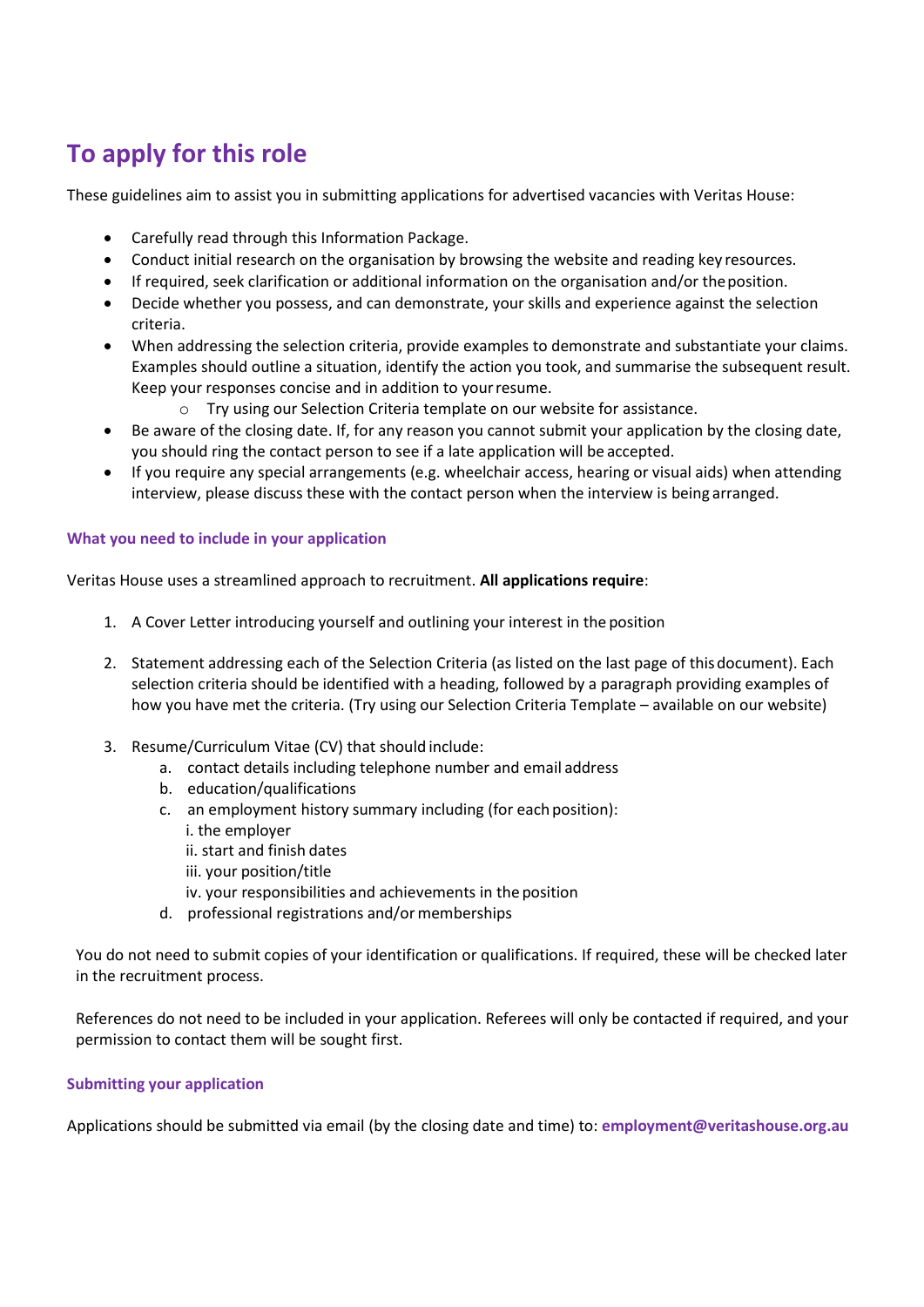# **To apply for this role**

These guidelines aim to assist you in submitting applications for advertised vacancies with Veritas House:

- Carefully read through this Information Package.
- Conduct initial research on the organisation by browsing the website and reading key resources.
- If required, seek clarification or additional information on the organisation and/or theposition.
- Decide whether you possess, and can demonstrate, your skills and experience against the selection criteria.
- When addressing the selection criteria, provide examples to demonstrate and substantiate your claims. Examples should outline a situation, identify the action you took, and summarise the subsequent result. Keep your responses concise and in addition to yourresume.
	- o Try using our Selection Criteria template on our website for assistance.
- Be aware of the closing date. If, for any reason you cannot submit your application by the closing date, you should ring the contact person to see if a late application will be accepted.
- If you require any special arrangements (e.g. wheelchair access, hearing or visual aids) when attending interview, please discuss these with the contact person when the interview is being arranged.

# **What you need to include in your application**

Veritas House uses a streamlined approach to recruitment. **All applications require**:

- 1. A Cover Letter introducing yourself and outlining your interest in the position
- 2. Statement addressing each of the Selection Criteria (as listed on the last page of thisdocument). Each selection criteria should be identified with a heading, followed by a paragraph providing examples of how you have met the criteria. (Try using our Selection Criteria Template – available on our website)
- 3. Resume/Curriculum Vitae (CV) that should include:
	- a. contact details including telephone number and email address
	- b. education/qualifications
	- c. an employment history summary including (for each position): i. the employer
		- ii. start and finish dates
		- iii. your position/title
		- iv. your responsibilities and achievements in the position
	- d. professional registrations and/ormemberships

You do not need to submit copies of your identification or qualifications. If required, these will be checked later in the recruitment process.

References do not need to be included in your application. Referees will only be contacted if required, and your permission to contact them will be sought first.

# **Submitting your application**

Applications should be submitted via email (by the closing date and time) to: **employment@veritashouse.org.au**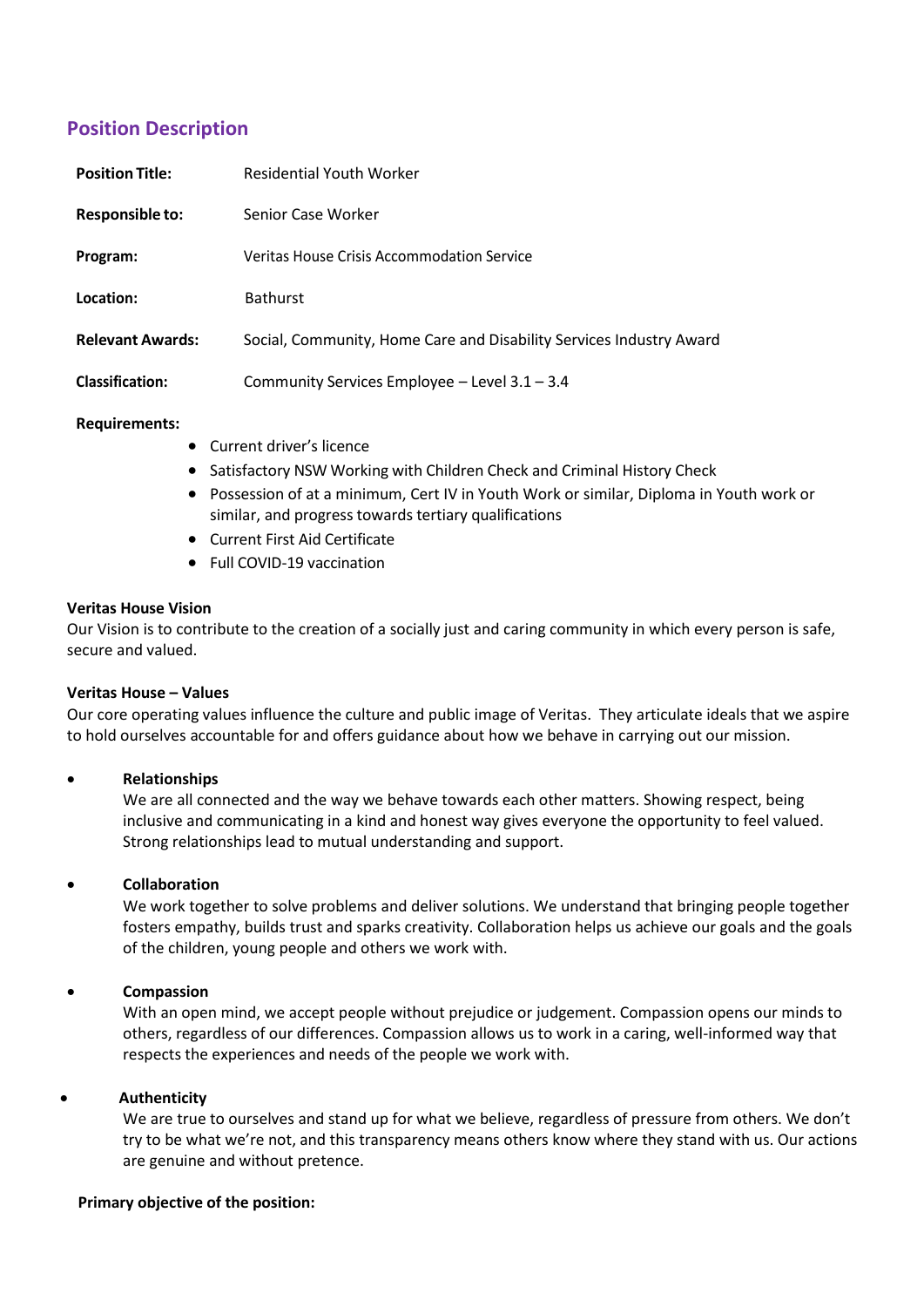# **Position Description**

| <b>Position Title:</b>  | <b>Residential Youth Worker</b>                                     |
|-------------------------|---------------------------------------------------------------------|
| <b>Responsible to:</b>  | Senior Case Worker                                                  |
| Program:                | <b>Veritas House Crisis Accommodation Service</b>                   |
| Location:               | <b>Bathurst</b>                                                     |
| <b>Relevant Awards:</b> | Social, Community, Home Care and Disability Services Industry Award |
| <b>Classification:</b>  | Community Services Employee - Level 3.1 - 3.4                       |
|                         |                                                                     |

#### **Requirements:**

- Current driver's licence
- Satisfactory NSW Working with Children Check and Criminal History Check
- Possession of at a minimum, Cert IV in Youth Work or similar, Diploma in Youth work or similar, and progress towards tertiary qualifications
- Current First Aid Certificate
- Full COVID-19 vaccination

#### **Veritas House Vision**

Our Vision is to contribute to the creation of a socially just and caring community in which every person is safe, secure and valued.

# **Veritas House – Values**

Our core operating values influence the culture and public image of Veritas. They articulate ideals that we aspire to hold ourselves accountable for and offers guidance about how we behave in carrying out our mission.

# • **Relationships**

We are all connected and the way we behave towards each other matters. Showing respect, being inclusive and communicating in a kind and honest way gives everyone the opportunity to feel valued. Strong relationships lead to mutual understanding and support.

# • **Collaboration**

We work together to solve problems and deliver solutions. We understand that bringing people together fosters empathy, builds trust and sparks creativity. Collaboration helps us achieve our goals and the goals of the children, young people and others we work with.

# • **Compassion**

With an open mind, we accept people without prejudice or judgement. Compassion opens our minds to others, regardless of our differences. Compassion allows us to work in a caring, well-informed way that respects the experiences and needs of the people we work with.

#### • **Authenticity**

We are true to ourselves and stand up for what we believe, regardless of pressure from others. We don't try to be what we're not, and this transparency means others know where they stand with us. Our actions are genuine and without pretence.

#### **Primary objective of the position:**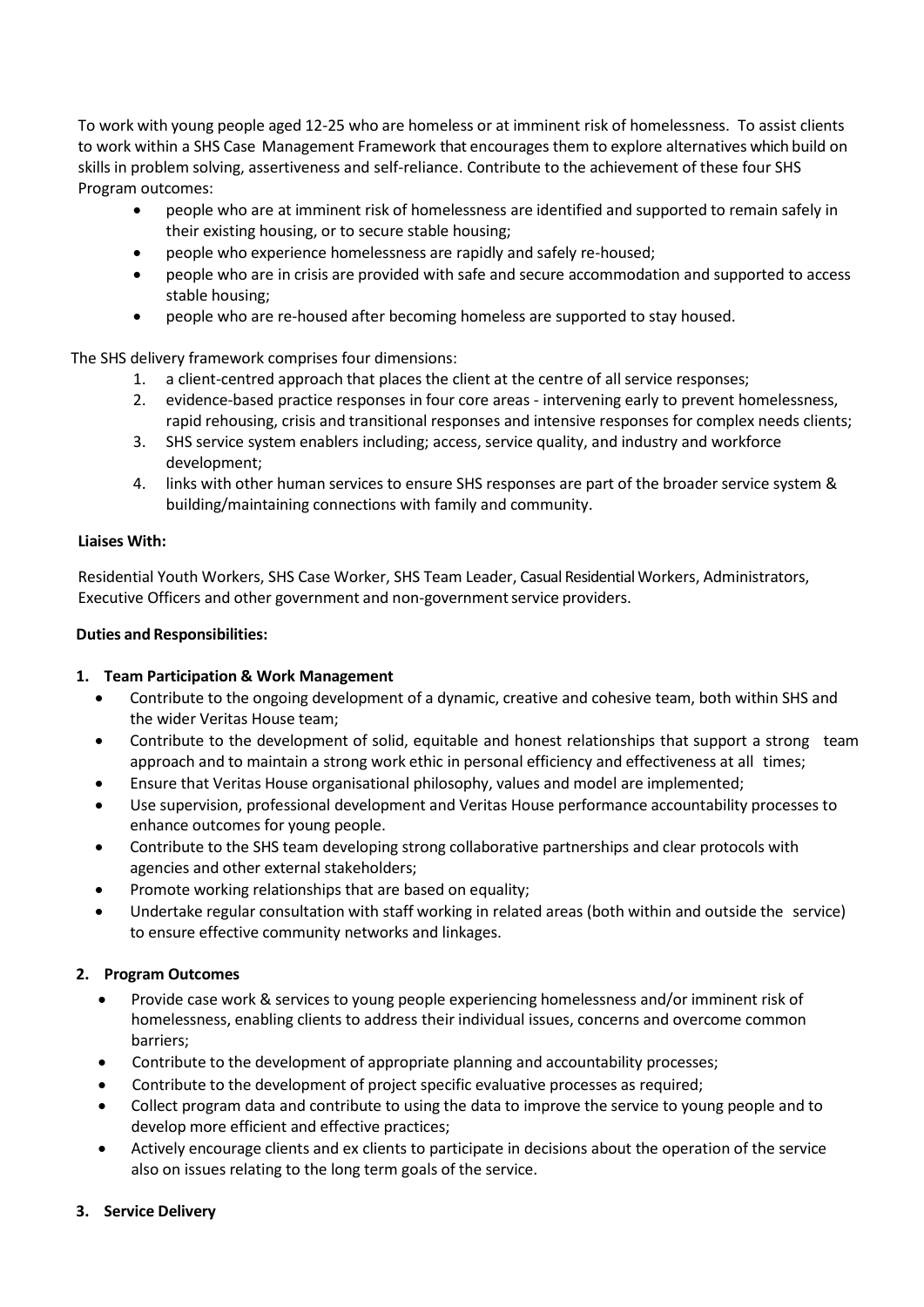To work with young people aged 12-25 who are homeless or at imminent risk of homelessness. To assist clients to work within a SHS Case Management Framework that encourages them to explore alternatives which build on skills in problem solving, assertiveness and self-reliance. Contribute to the achievement of these four SHS Program outcomes:

- people who are at imminent risk of homelessness are identified and supported to remain safely in their existing housing, or to secure stable housing;
- people who experience homelessness are rapidly and safely re-housed;
- people who are in crisis are provided with safe and secure accommodation and supported to access stable housing;
- people who are re-housed after becoming homeless are supported to stay housed.

The SHS delivery framework comprises four dimensions:

- 1. a client-centred approach that places the client at the centre of all service responses;
- 2. evidence-based practice responses in four core areas intervening early to prevent homelessness, rapid rehousing, crisis and transitional responses and intensive responses for complex needs clients;
- 3. SHS service system enablers including; access, service quality, and industry and workforce development;
- 4. links with other human services to ensure SHS responses are part of the broader service system & building/maintaining connections with family and community.

#### **Liaises With:**

Residential Youth Workers, SHS Case Worker, SHS Team Leader, Casual Residential Workers, Administrators, Executive Officers and other government and non-government service providers.

#### **Duties and Responsibilities:**

# **1. Team Participation & Work Management**

- Contribute to the ongoing development of a dynamic, creative and cohesive team, both within SHS and the wider Veritas House team;
- Contribute to the development of solid, equitable and honest relationships that support a strong team approach and to maintain a strong work ethic in personal efficiency and effectiveness at all times;
- Ensure that Veritas House organisational philosophy, values and model are implemented;
- Use supervision, professional development and Veritas House performance accountability processes to enhance outcomes for young people.
- Contribute to the SHS team developing strong collaborative partnerships and clear protocols with agencies and other external stakeholders;
- Promote working relationships that are based on equality;
- Undertake regular consultation with staff working in related areas (both within and outside the service) to ensure effective community networks and linkages.

# **2. Program Outcomes**

- Provide case work & services to young people experiencing homelessness and/or imminent risk of homelessness, enabling clients to address their individual issues, concerns and overcome common barriers;
- Contribute to the development of appropriate planning and accountability processes;
- Contribute to the development of project specific evaluative processes as required;
- Collect program data and contribute to using the data to improve the service to young people and to develop more efficient and effective practices;
- Actively encourage clients and ex clients to participate in decisions about the operation of the service also on issues relating to the long term goals of the service.

# **3. Service Delivery**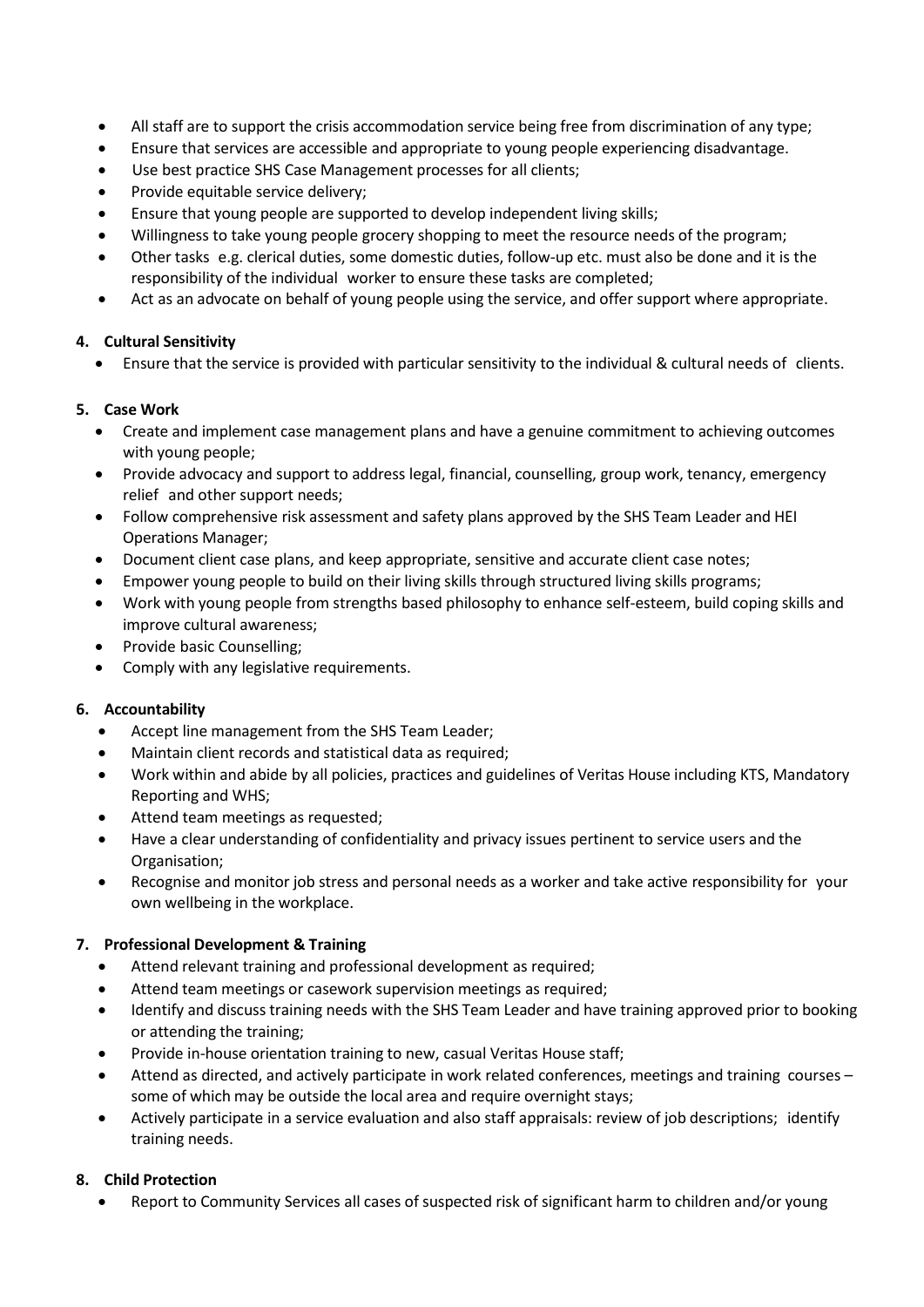- All staff are to support the crisis accommodation service being free from discrimination of any type;
- Ensure that services are accessible and appropriate to young people experiencing disadvantage.
- Use best practice SHS Case Management processes for all clients;
- Provide equitable service delivery;
- Ensure that young people are supported to develop independent living skills;
- Willingness to take young people grocery shopping to meet the resource needs of the program;
- Other tasks e.g. clerical duties, some domestic duties, follow-up etc. must also be done and it is the responsibility of the individual worker to ensure these tasks are completed;
- Act as an advocate on behalf of young people using the service, and offer support where appropriate.

# **4. Cultural Sensitivity**

• Ensure that the service is provided with particular sensitivity to the individual & cultural needs of clients.

# **5. Case Work**

- Create and implement case management plans and have a genuine commitment to achieving outcomes with young people;
- Provide advocacy and support to address legal, financial, counselling, group work, tenancy, emergency relief and other support needs;
- Follow comprehensive risk assessment and safety plans approved by the SHS Team Leader and HEI Operations Manager;
- Document client case plans, and keep appropriate, sensitive and accurate client case notes;
- Empower young people to build on their living skills through structured living skills programs;
- Work with young people from strengths based philosophy to enhance self-esteem, build coping skills and improve cultural awareness;
- Provide basic Counselling;
- Comply with any legislative requirements.

# **6. Accountability**

- Accept line management from the SHS Team Leader;
- Maintain client records and statistical data as required;
- Work within and abide by all policies, practices and guidelines of Veritas House including KTS, Mandatory Reporting and WHS;
- Attend team meetings as requested;
- Have a clear understanding of confidentiality and privacy issues pertinent to service users and the Organisation;
- Recognise and monitor job stress and personal needs as a worker and take active responsibility for your own wellbeing in the workplace.

# **7. Professional Development & Training**

- Attend relevant training and professional development as required;
- Attend team meetings or casework supervision meetings as required;
- Identify and discuss training needs with the SHS Team Leader and have training approved prior to booking or attending the training;
- Provide in-house orientation training to new, casual Veritas House staff;
- Attend as directed, and actively participate in work related conferences, meetings and training courses some of which may be outside the local area and require overnight stays;
- Actively participate in a service evaluation and also staff appraisals: review of job descriptions; identify training needs.

# **8. Child Protection**

• Report to Community Services all cases of suspected risk of significant harm to children and/or young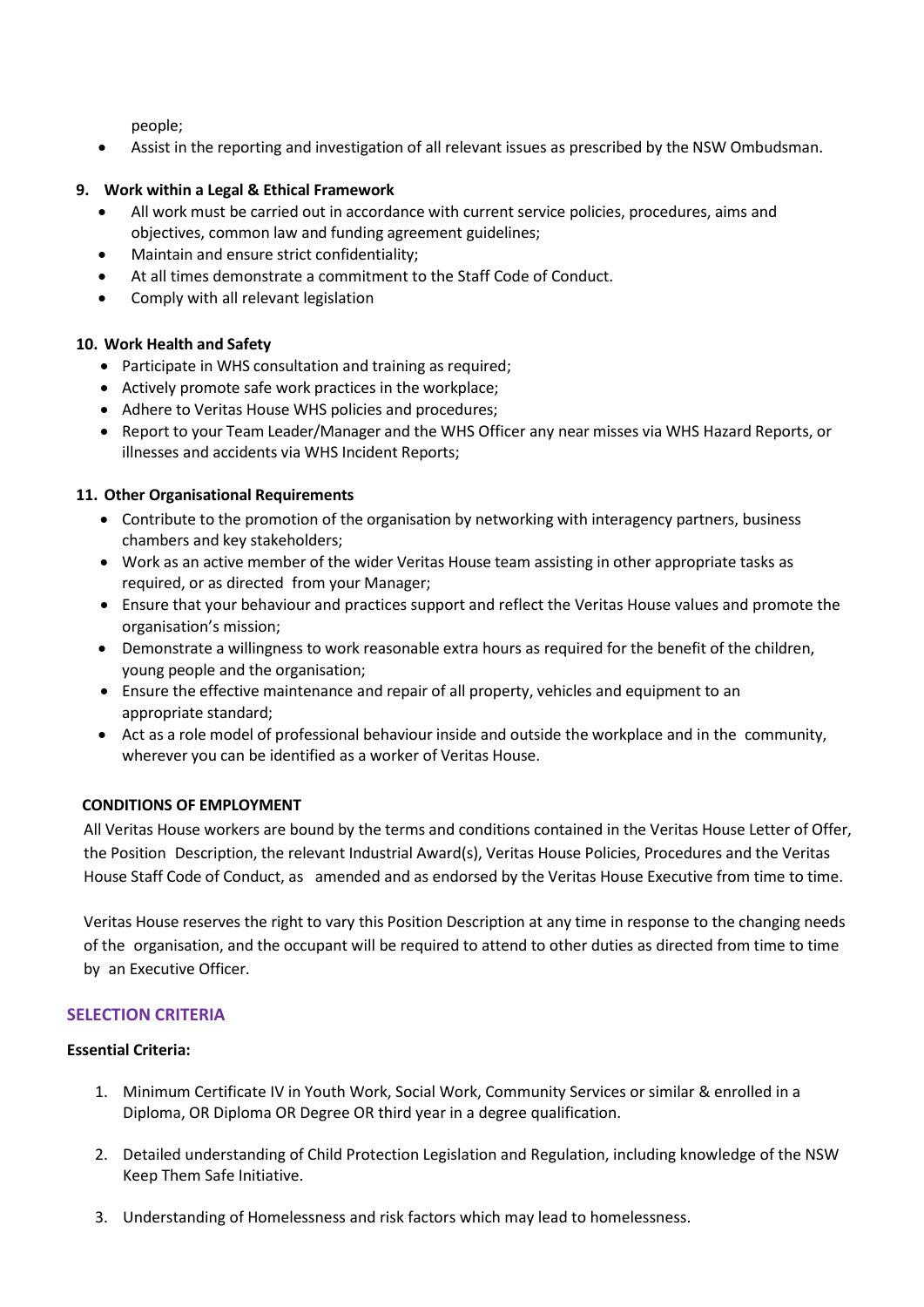people;

• Assist in the reporting and investigation of all relevant issues as prescribed by the NSW Ombudsman.

#### **9. Work within a Legal & Ethical Framework**

- All work must be carried out in accordance with current service policies, procedures, aims and objectives, common law and funding agreement guidelines;
- Maintain and ensure strict confidentiality;
- At all times demonstrate a commitment to the Staff Code of Conduct.
- Comply with all relevant legislation

# **10. Work Health and Safety**

- Participate in WHS consultation and training as required;
- Actively promote safe work practices in the workplace;
- Adhere to Veritas House WHS policies and procedures;
- Report to your Team Leader/Manager and the WHS Officer any near misses via WHS Hazard Reports, or illnesses and accidents via WHS Incident Reports;

# **11. Other Organisational [Requirements](http://www.docudesk.com/deskpdf/pdf-studio/buy-studio-x-now)**

- Contribute to the [promotion of the organisation b](http://www.docudesk.com/deskpdf/pdf-studio/buy-studio-x-now)y [networking](http://www.docudesk.com/deskpdf/pdf-studio/buy-studio-x-now) with interagency partners, business chambers and key stakeholders;
- Work as an active member of the [wider Veritas House team](http://www.docudesk.com/deskpdf/pdf-studio/buy-studio-x-now) assisting in other appropriate tasks as [required,](http://www.docudesk.com/deskpdf/pdf-studio/buy-studio-x-now) or as directed from your Manager;
- Ensure [that your behaviour and practices support and reflect the Veritas House values and promote the](http://www.docudesk.com/deskpdf/pdf-studio/buy-studio-x-now)  [organisation's mission;](http://www.docudesk.com/deskpdf/pdf-studio/buy-studio-x-now)
- Demonstrate a willingness to work reasonable extra hours as required for the benefit of the children, young people and the organisation;
- Ensure the effective [maintenance](http://www.docudesk.com/deskpdf/pdf-studio/buy-studio-x-now) and repair of all property, vehicles and equipment to an appropriate standar[d;](http://www.docudesk.com/deskpdf/pdf-studio/buy-studio-x-now)
- Act as a role model [of professional](http://www.docudesk.com/deskpdf/pdf-studio/buy-studio-x-now) behaviour inside and outside the workplace and in the co[mmunity,](http://www.docudesk.com/deskpdf/pdf-studio/buy-studio-x-now) wherever you can be identified as a worker of [Veritas House.](http://www.docudesk.com/deskpdf/pdf-studio/buy-studio-x-now)

# **CONDITIONS OF EMPLOYMENT**

All Veritas House workers are bound by the terms and conditions contained in the Veritas House Letter of Offer, the Position Description, the relevant Industrial Award(s), Veritas House Policies, Procedures and the Veritas House Staff Code of Conduct, as amended and as endorsed by the Veritas House Executive from time to time.

Veritas House reserves the right to vary this Position Description at any time in response to the changing needs of the organisation, and the occupant will be required to attend to other duties as directed from time to time by an Executive Officer.

# **SELECTION CRITERIA**

# **Essential Criteria:**

- 1. Minimum Certificate IV in Youth Work, Social Work, Community Services or similar & enrolled in a Diploma, OR Diploma OR Degree OR third year in a degree qualification.
- 2. Detailed understanding of Child Protection Legislation and Regulation, including knowledge of the NSW Keep Them Safe Initiative.
- 3. Understanding of Homelessness and risk factors which may lead to homelessness.